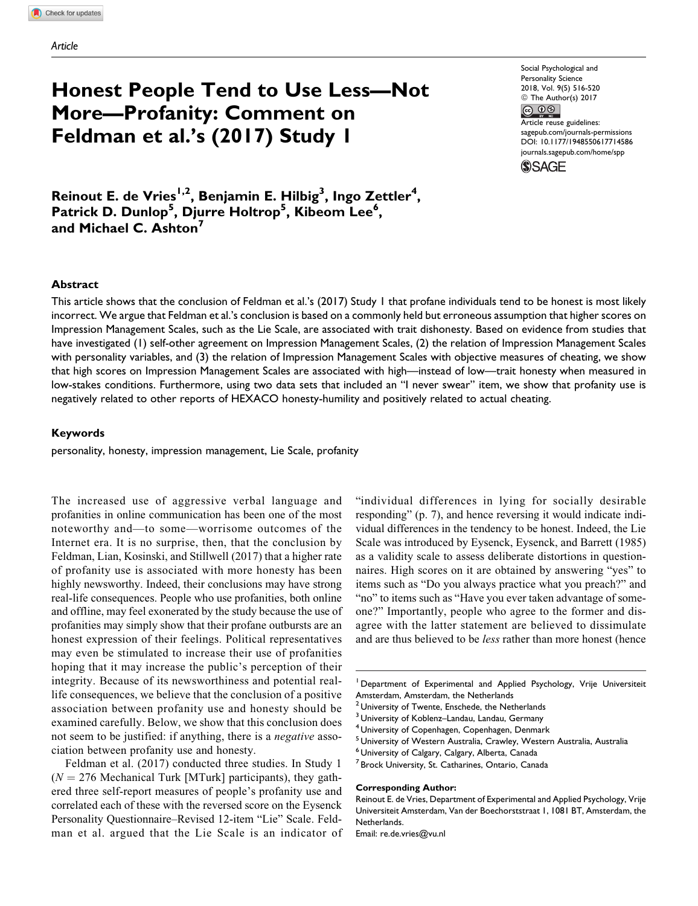# Honest People Tend to Use Less—Not More—Profanity: Comment on Feldman et al.'s (2017) Study 1

Social Psychological and Personality Science 2018, Vol. 9(5) 516-520 © The Author(s) 2017  $\circledcirc$   $\circledcirc$ Article reuse guidelines:

[sagepub.com/journals-permissions](https://sagepub.com/journals-permissions) [DOI: 10.1177/1948550617714586](https://doi.org/10.1177/1948550617714586) [journals.sagepub.com/home/spp](http://journals.sagepub.com/home/spp)



Reinout E. de Vries<sup>1,2</sup>, Benjamin E. Hilbig<sup>3</sup>, Ingo Zettler<sup>4</sup>, Patrick D. Dunlop<sup>5</sup>, Djurre Holtrop<sup>5</sup>, Kibeom Lee<sup>6</sup>, and Michael C. Ashton<sup>7</sup>

#### Abstract

This article shows that the conclusion of Feldman et al.'s (2017) Study 1 that profane individuals tend to be honest is most likely incorrect. We argue that Feldman et al.'s conclusion is based on a commonly held but erroneous assumption that higher scores on Impression Management Scales, such as the Lie Scale, are associated with trait dishonesty. Based on evidence from studies that have investigated (1) self-other agreement on Impression Management Scales, (2) the relation of Impression Management Scales with personality variables, and (3) the relation of Impression Management Scales with objective measures of cheating, we show that high scores on Impression Management Scales are associated with high—instead of low—trait honesty when measured in low-stakes conditions. Furthermore, using two data sets that included an "I never swear" item, we show that profanity use is negatively related to other reports of HEXACO honesty-humility and positively related to actual cheating.

## Keywords

personality, honesty, impression management, Lie Scale, profanity

The increased use of aggressive verbal language and profanities in online communication has been one of the most noteworthy and—to some—worrisome outcomes of the Internet era. It is no surprise, then, that the conclusion by Feldman, Lian, Kosinski, and Stillwell (2017) that a higher rate of profanity use is associated with more honesty has been highly newsworthy. Indeed, their conclusions may have strong real-life consequences. People who use profanities, both online and offline, may feel exonerated by the study because the use of profanities may simply show that their profane outbursts are an honest expression of their feelings. Political representatives may even be stimulated to increase their use of profanities hoping that it may increase the public's perception of their integrity. Because of its newsworthiness and potential reallife consequences, we believe that the conclusion of a positive association between profanity use and honesty should be examined carefully. Below, we show that this conclusion does not seem to be justified: if anything, there is a negative association between profanity use and honesty.

Feldman et al. (2017) conducted three studies. In Study 1  $(N = 276$  Mechanical Turk [MTurk] participants), they gathered three self-report measures of people's profanity use and correlated each of these with the reversed score on the Eysenck Personality Questionnaire–Revised 12-item "Lie" Scale. Feldman et al. argued that the Lie Scale is an indicator of "individual differences in lying for socially desirable responding" (p. 7), and hence reversing it would indicate individual differences in the tendency to be honest. Indeed, the Lie Scale was introduced by Eysenck, Eysenck, and Barrett (1985) as a validity scale to assess deliberate distortions in questionnaires. High scores on it are obtained by answering "yes" to items such as "Do you always practice what you preach?" and "no" to items such as "Have you ever taken advantage of someone?" Importantly, people who agree to the former and disagree with the latter statement are believed to dissimulate and are thus believed to be *less* rather than more honest (hence

<sup>1</sup> Department of Experimental and Applied Psychology, Vrije Universiteit Amsterdam, Amsterdam, the Netherlands

#### Corresponding Author:

<sup>&</sup>lt;sup>2</sup> University of Twente, Enschede, the Netherlands

<sup>&</sup>lt;sup>3</sup> University of Koblenz–Landau, Landau, Germany

<sup>4</sup> University of Copenhagen, Copenhagen, Denmark

<sup>5</sup> University of Western Australia, Crawley, Western Australia, Australia

<sup>6</sup> University of Calgary, Calgary, Alberta, Canada

<sup>&</sup>lt;sup>7</sup> Brock University, St. Catharines, Ontario, Canada

Reinout E. de Vries, Department of Experimental and Applied Psychology, Vrije Universiteit Amsterdam, Van der Boechorststraat 1, 1081 BT, Amsterdam, the Netherlands.

Email: re.de.vries@vu.nl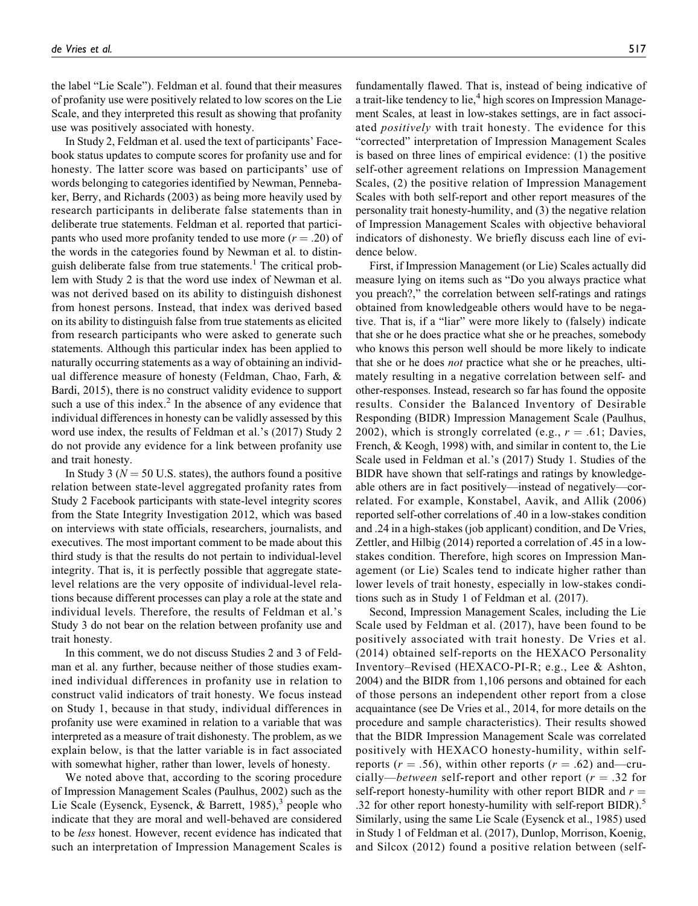the label "Lie Scale"). Feldman et al. found that their measures of profanity use were positively related to low scores on the Lie Scale, and they interpreted this result as showing that profanity use was positively associated with honesty.

In Study 2, Feldman et al. used the text of participants' Facebook status updates to compute scores for profanity use and for honesty. The latter score was based on participants' use of words belonging to categories identified by Newman, Pennebaker, Berry, and Richards (2003) as being more heavily used by research participants in deliberate false statements than in deliberate true statements. Feldman et al. reported that participants who used more profanity tended to use more  $(r = .20)$  of the words in the categories found by Newman et al. to distinguish deliberate false from true statements.<sup>1</sup> The critical problem with Study 2 is that the word use index of Newman et al. was not derived based on its ability to distinguish dishonest from honest persons. Instead, that index was derived based on its ability to distinguish false from true statements as elicited from research participants who were asked to generate such statements. Although this particular index has been applied to naturally occurring statements as a way of obtaining an individual difference measure of honesty (Feldman, Chao, Farh, & Bardi, 2015), there is no construct validity evidence to support such a use of this index. $2$  In the absence of any evidence that individual differences in honesty can be validly assessed by this word use index, the results of Feldman et al.'s (2017) Study 2 do not provide any evidence for a link between profanity use and trait honesty.

In Study 3 ( $N = 50$  U.S. states), the authors found a positive relation between state-level aggregated profanity rates from Study 2 Facebook participants with state-level integrity scores from the State Integrity Investigation 2012, which was based on interviews with state officials, researchers, journalists, and executives. The most important comment to be made about this third study is that the results do not pertain to individual-level integrity. That is, it is perfectly possible that aggregate statelevel relations are the very opposite of individual-level relations because different processes can play a role at the state and individual levels. Therefore, the results of Feldman et al.'s Study 3 do not bear on the relation between profanity use and trait honesty.

In this comment, we do not discuss Studies 2 and 3 of Feldman et al. any further, because neither of those studies examined individual differences in profanity use in relation to construct valid indicators of trait honesty. We focus instead on Study 1, because in that study, individual differences in profanity use were examined in relation to a variable that was interpreted as a measure of trait dishonesty. The problem, as we explain below, is that the latter variable is in fact associated with somewhat higher, rather than lower, levels of honesty.

We noted above that, according to the scoring procedure of Impression Management Scales (Paulhus, 2002) such as the Lie Scale (Eysenck, Eysenck, & Barrett, 1985), $\delta$  people who indicate that they are moral and well-behaved are considered to be less honest. However, recent evidence has indicated that such an interpretation of Impression Management Scales is

fundamentally flawed. That is, instead of being indicative of a trait-like tendency to lie,<sup>4</sup> high scores on Impression Management Scales, at least in low-stakes settings, are in fact associated *positively* with trait honesty. The evidence for this "corrected" interpretation of Impression Management Scales is based on three lines of empirical evidence: (1) the positive self-other agreement relations on Impression Management Scales, (2) the positive relation of Impression Management Scales with both self-report and other report measures of the personality trait honesty-humility, and (3) the negative relation of Impression Management Scales with objective behavioral indicators of dishonesty. We briefly discuss each line of evidence below.

First, if Impression Management (or Lie) Scales actually did measure lying on items such as "Do you always practice what you preach?," the correlation between self-ratings and ratings obtained from knowledgeable others would have to be negative. That is, if a "liar" were more likely to (falsely) indicate that she or he does practice what she or he preaches, somebody who knows this person well should be more likely to indicate that she or he does not practice what she or he preaches, ultimately resulting in a negative correlation between self- and other-responses. Instead, research so far has found the opposite results. Consider the Balanced Inventory of Desirable Responding (BIDR) Impression Management Scale (Paulhus, 2002), which is strongly correlated (e.g.,  $r = .61$ ; Davies, French, & Keogh, 1998) with, and similar in content to, the Lie Scale used in Feldman et al.'s (2017) Study 1. Studies of the BIDR have shown that self-ratings and ratings by knowledgeable others are in fact positively—instead of negatively—correlated. For example, Konstabel, Aavik, and Allik (2006) reported self-other correlations of .40 in a low-stakes condition and .24 in a high-stakes (job applicant) condition, and De Vries, Zettler, and Hilbig (2014) reported a correlation of .45 in a lowstakes condition. Therefore, high scores on Impression Management (or Lie) Scales tend to indicate higher rather than lower levels of trait honesty, especially in low-stakes conditions such as in Study 1 of Feldman et al. (2017).

Second, Impression Management Scales, including the Lie Scale used by Feldman et al. (2017), have been found to be positively associated with trait honesty. De Vries et al. (2014) obtained self-reports on the HEXACO Personality Inventory–Revised (HEXACO-PI-R; e.g., Lee & Ashton, 2004) and the BIDR from 1,106 persons and obtained for each of those persons an independent other report from a close acquaintance (see De Vries et al., 2014, for more details on the procedure and sample characteristics). Their results showed that the BIDR Impression Management Scale was correlated positively with HEXACO honesty-humility, within selfreports ( $r = .56$ ), within other reports ( $r = .62$ ) and—crucially—between self-report and other report  $(r = .32$  for self-report honesty-humility with other report BIDR and  $r =$ .32 for other report honesty-humility with self-report  $BIDR$ ).<sup>5</sup> Similarly, using the same Lie Scale (Eysenck et al., 1985) used in Study 1 of Feldman et al. (2017), Dunlop, Morrison, Koenig, and Silcox (2012) found a positive relation between (self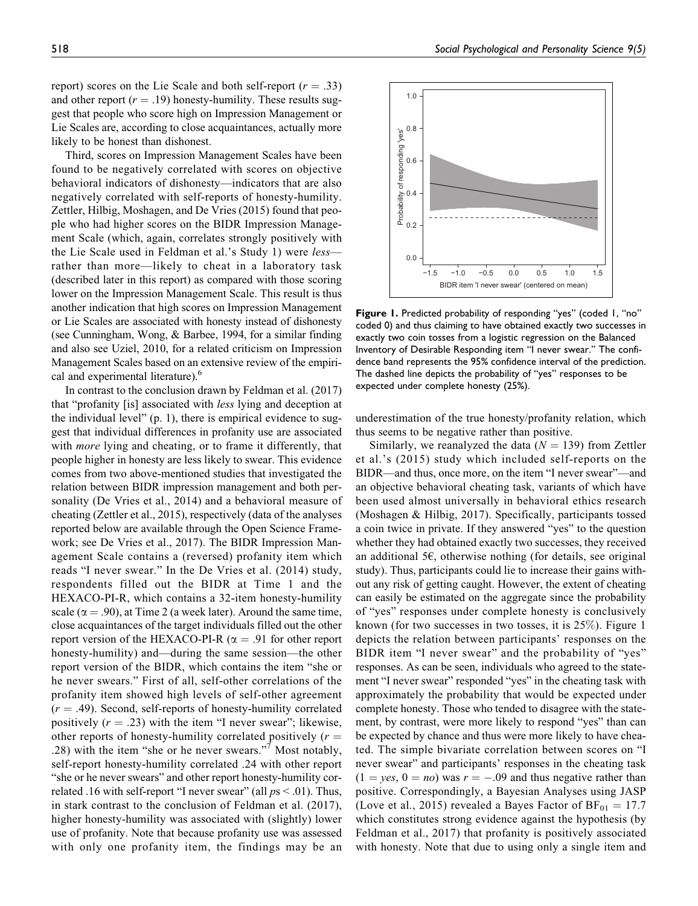report) scores on the Lie Scale and both self-report ( $r = .33$ ) and other report ( $r = .19$ ) honesty-humility. These results suggest that people who score high on Impression Management or Lie Scales are, according to close acquaintances, actually more likely to be honest than dishonest.

Third, scores on Impression Management Scales have been found to be negatively correlated with scores on objective behavioral indicators of dishonesty—indicators that are also negatively correlated with self-reports of honesty-humility. Zettler, Hilbig, Moshagen, and De Vries (2015) found that people who had higher scores on the BIDR Impression Management Scale (which, again, correlates strongly positively with the Lie Scale used in Feldman et al.'s Study 1) were *less*rather than more—likely to cheat in a laboratory task (described later in this report) as compared with those scoring lower on the Impression Management Scale. This result is thus another indication that high scores on Impression Management or Lie Scales are associated with honesty instead of dishonesty (see Cunningham, Wong, & Barbee, 1994, for a similar finding and also see Uziel, 2010, for a related criticism on Impression Management Scales based on an extensive review of the empirical and experimental literature).<sup>6</sup>

In contrast to the conclusion drawn by Feldman et al. (2017) that "profanity [is] associated with less lying and deception at the individual level" (p. 1), there is empirical evidence to suggest that individual differences in profanity use are associated with *more* lying and cheating, or to frame it differently, that people higher in honesty are less likely to swear. This evidence comes from two above-mentioned studies that investigated the relation between BIDR impression management and both personality (De Vries et al., 2014) and a behavioral measure of cheating (Zettler et al., 2015), respectively (data of the analyses reported below are available through the Open Science Framework; see De Vries et al., 2017). The BIDR Impression Management Scale contains a (reversed) profanity item which reads "I never swear." In the De Vries et al. (2014) study, respondents filled out the BIDR at Time 1 and the HEXACO-PI-R, which contains a 32-item honesty-humility scale ( $\alpha$  = .90), at Time 2 (a week later). Around the same time, close acquaintances of the target individuals filled out the other report version of the HEXACO-PI-R ( $\alpha = .91$  for other report honesty-humility) and—during the same session—the other report version of the BIDR, which contains the item "she or he never swears." First of all, self-other correlations of the profanity item showed high levels of self-other agreement  $(r = .49)$ . Second, self-reports of honesty-humility correlated positively  $(r = .23)$  with the item "I never swear"; likewise, other reports of honesty-humility correlated positively  $(r =$ .28) with the item "she or he never swears."7 Most notably, self-report honesty-humility correlated .24 with other report "she or he never swears" and other report honesty-humility correlated .16 with self-report "I never swear" (all  $ps < .01$ ). Thus, in stark contrast to the conclusion of Feldman et al. (2017), higher honesty-humility was associated with (slightly) lower use of profanity. Note that because profanity use was assessed with only one profanity item, the findings may be an



Figure 1. Predicted probability of responding "yes" (coded 1, "no" coded 0) and thus claiming to have obtained exactly two successes in exactly two coin tosses from a logistic regression on the Balanced Inventory of Desirable Responding item "I never swear." The confidence band represents the 95% confidence interval of the prediction. The dashed line depicts the probability of "yes" responses to be expected under complete honesty (25%).

underestimation of the true honesty/profanity relation, which thus seems to be negative rather than positive.

Similarly, we reanalyzed the data ( $N = 139$ ) from Zettler et al.'s (2015) study which included self-reports on the BIDR—and thus, once more, on the item "I never swear"—and an objective behavioral cheating task, variants of which have been used almost universally in behavioral ethics research (Moshagen & Hilbig, 2017). Specifically, participants tossed a coin twice in private. If they answered "yes" to the question whether they had obtained exactly two successes, they received an additional 5 $\epsilon$ , otherwise nothing (for details, see original study). Thus, participants could lie to increase their gains without any risk of getting caught. However, the extent of cheating can easily be estimated on the aggregate since the probability of "yes" responses under complete honesty is conclusively known (for two successes in two tosses, it is 25%). Figure 1 depicts the relation between participants' responses on the BIDR item "I never swear" and the probability of "yes" responses. As can be seen, individuals who agreed to the statement "I never swear" responded "yes" in the cheating task with approximately the probability that would be expected under complete honesty. Those who tended to disagree with the statement, by contrast, were more likely to respond "yes" than can be expected by chance and thus were more likely to have cheated. The simple bivariate correlation between scores on "I never swear" and participants' responses in the cheating task  $(1 = yes, 0 = no)$  was  $r = -.09$  and thus negative rather than positive. Correspondingly, a Bayesian Analyses using JASP (Love et al., 2015) revealed a Bayes Factor of  $BF_{01} = 17.7$ which constitutes strong evidence against the hypothesis (by Feldman et al., 2017) that profanity is positively associated with honesty. Note that due to using only a single item and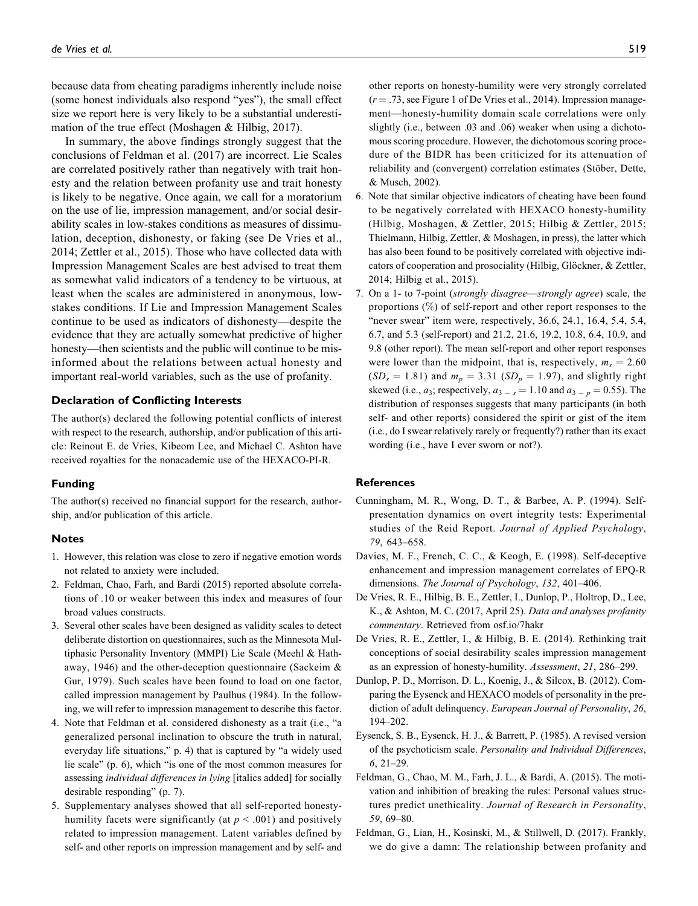because data from cheating paradigms inherently include noise (some honest individuals also respond "yes"), the small effect size we report here is very likely to be a substantial underestimation of the true effect (Moshagen & Hilbig, 2017).

In summary, the above findings strongly suggest that the conclusions of Feldman et al. (2017) are incorrect. Lie Scales are correlated positively rather than negatively with trait honesty and the relation between profanity use and trait honesty is likely to be negative. Once again, we call for a moratorium on the use of lie, impression management, and/or social desirability scales in low-stakes conditions as measures of dissimulation, deception, dishonesty, or faking (see De Vries et al., 2014; Zettler et al., 2015). Those who have collected data with Impression Management Scales are best advised to treat them as somewhat valid indicators of a tendency to be virtuous, at least when the scales are administered in anonymous, lowstakes conditions. If Lie and Impression Management Scales continue to be used as indicators of dishonesty—despite the evidence that they are actually somewhat predictive of higher honesty—then scientists and the public will continue to be misinformed about the relations between actual honesty and important real-world variables, such as the use of profanity.

#### Declaration of Conflicting Interests

The author(s) declared the following potential conflicts of interest with respect to the research, authorship, and/or publication of this article: Reinout E. de Vries, Kibeom Lee, and Michael C. Ashton have received royalties for the nonacademic use of the HEXACO-PI-R.

#### Funding

The author(s) received no financial support for the research, authorship, and/or publication of this article.

#### Notes

- 1. However, this relation was close to zero if negative emotion words not related to anxiety were included.
- 2. Feldman, Chao, Farh, and Bardi (2015) reported absolute correlations of .10 or weaker between this index and measures of four broad values constructs.
- 3. Several other scales have been designed as validity scales to detect deliberate distortion on questionnaires, such as the Minnesota Multiphasic Personality Inventory (MMPI) Lie Scale (Meehl & Hathaway, 1946) and the other-deception questionnaire (Sackeim & Gur, 1979). Such scales have been found to load on one factor, called impression management by Paulhus (1984). In the following, we will refer to impression management to describe this factor.
- 4. Note that Feldman et al. considered dishonesty as a trait (i.e., "a generalized personal inclination to obscure the truth in natural, everyday life situations," p. 4) that is captured by "a widely used lie scale" (p. 6), which "is one of the most common measures for assessing individual differences in lying [italics added] for socially desirable responding" (p. 7).
- 5. Supplementary analyses showed that all self-reported honestyhumility facets were significantly (at  $p < .001$ ) and positively related to impression management. Latent variables defined by self- and other reports on impression management and by self- and

other reports on honesty-humility were very strongly correlated  $(r = .73, \text{ see Figure 1 of De Vries et al., } 2014)$ . Impression management—honesty-humility domain scale correlations were only slightly (i.e., between .03 and .06) weaker when using a dichotomous scoring procedure. However, the dichotomous scoring procedure of the BIDR has been criticized for its attenuation of reliability and (convergent) correlation estimates (Stöber, Dette, & Musch, 2002).

- 6. Note that similar objective indicators of cheating have been found to be negatively correlated with HEXACO honesty-humility (Hilbig, Moshagen, & Zettler, 2015; Hilbig & Zettler, 2015; Thielmann, Hilbig, Zettler, & Moshagen, in press), the latter which has also been found to be positively correlated with objective indicators of cooperation and prosociality (Hilbig, Glöckner, & Zettler, 2014; Hilbig et al., 2015).
- 7. On a 1- to 7-point (strongly disagree—strongly agree) scale, the proportions (%) of self-report and other report responses to the "never swear" item were, respectively, 36.6, 24.1, 16.4, 5.4, 5.4, 6.7, and 5.3 (self-report) and 21.2, 21.6, 19.2, 10.8, 6.4, 10.9, and 9.8 (other report). The mean self-report and other report responses were lower than the midpoint, that is, respectively,  $m_s = 2.60$  $(SD<sub>s</sub> = 1.81)$  and  $m<sub>p</sub> = 3.31$   $(SD<sub>p</sub> = 1.97)$ , and slightly right skewed (i.e.,  $a_3$ ; respectively,  $a_{3-s} = 1.10$  and  $a_{3-p} = 0.55$ ). The distribution of responses suggests that many participants (in both self- and other reports) considered the spirit or gist of the item (i.e., do I swear relatively rarely or frequently?) rather than its exact wording (i.e., have I ever sworn or not?).

## **References**

- Cunningham, M. R., Wong, D. T., & Barbee, A. P. (1994). Selfpresentation dynamics on overt integrity tests: Experimental studies of the Reid Report. Journal of Applied Psychology, 79, 643–658.
- Davies, M. F., French, C. C., & Keogh, E. (1998). Self-deceptive enhancement and impression management correlates of EPQ-R dimensions. The Journal of Psychology, 132, 401-406.
- De Vries, R. E., Hilbig, B. E., Zettler, I., Dunlop, P., Holtrop, D., Lee, K., & Ashton, M. C. (2017, April 25). Data and analyses profanity commentary. Retrieved from [osf.io/7hakr](http://osf.io/7hakr)
- De Vries, R. E., Zettler, I., & Hilbig, B. E. (2014). Rethinking trait conceptions of social desirability scales impression management as an expression of honesty-humility. Assessment, 21, 286–299.
- Dunlop, P. D., Morrison, D. L., Koenig, J., & Silcox, B. (2012). Comparing the Eysenck and HEXACO models of personality in the prediction of adult delinquency. European Journal of Personality, 26, 194–202.
- Eysenck, S. B., Eysenck, H. J., & Barrett, P. (1985). A revised version of the psychoticism scale. Personality and Individual Differences,  $6, 21-29.$
- Feldman, G., Chao, M. M., Farh, J. L., & Bardi, A. (2015). The motivation and inhibition of breaking the rules: Personal values structures predict unethicality. Journal of Research in Personality, 59, 69–80.
- Feldman, G., Lian, H., Kosinski, M., & Stillwell, D. (2017). Frankly, we do give a damn: The relationship between profanity and